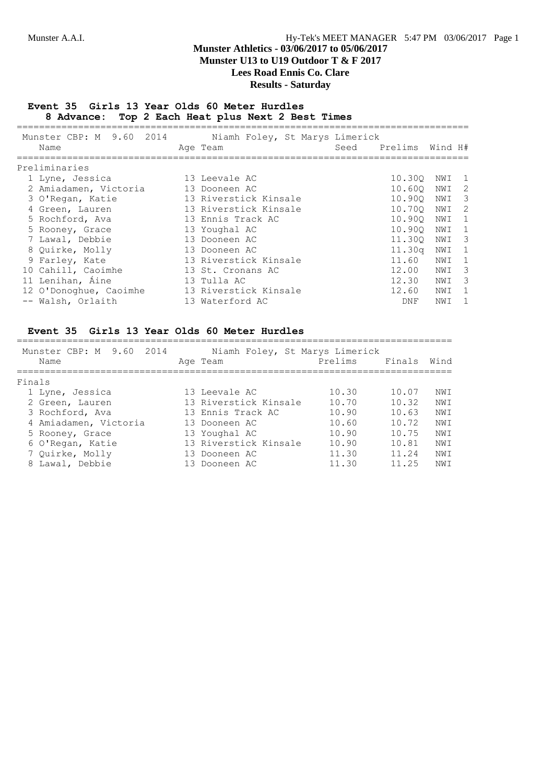## **Munster Athletics - 03/06/2017 to 05/06/2017 Munster U13 to U19 Outdoor T & F 2017**

**Lees Road Ennis Co. Clare**

## **Results - Saturday**

#### **Event 35 Girls 13 Year Olds 60 Meter Hurdles 8 Advance: Top 2 Each Heat plus Next 2 Best Times**

| Munster CBP: M 9.60 2014<br>Name | Niamh Foley, St Marys Limerick<br>Age Team | Seed | Prelims    | Wind H# |                            |
|----------------------------------|--------------------------------------------|------|------------|---------|----------------------------|
| Preliminaries                    |                                            |      |            |         |                            |
| 1 Lyne, Jessica                  | 13 Leevale AC                              |      | 10.300     | NWI     | $\overline{1}$             |
| 2 Amiadamen, Victoria            | 13 Dooneen AC                              |      | 10.600     | NWI     | $\overline{\phantom{0}}^2$ |
| 3 O'Regan, Katie                 | 13 Riverstick Kinsale                      |      | 10.900     | NWI     | $\overline{\mathbf{3}}$    |
| 4 Green, Lauren                  | 13 Riverstick Kinsale                      |      | 10.700     | NWI     | $\overline{2}$             |
| 5 Rochford, Ava                  | 13 Ennis Track AC                          |      | 10.900     | NWI     | $\overline{1}$             |
| 5 Rooney, Grace                  | 13 Youghal AC                              |      | 10.900     | NWI     | $\overline{1}$             |
| 7 Lawal, Debbie                  | 13 Dooneen AC                              |      | 11,300     | NWI     | $\overline{\mathbf{3}}$    |
| 8 Ouirke, Molly                  | 13 Dooneen AC                              |      | 11.30q     | NWI     | - 1                        |
| 9 Farley, Kate                   | 13 Riverstick Kinsale                      |      | 11.60      | NWI     | 1                          |
| 10 Cahill, Caoimhe               | 13 St. Cronans AC                          |      | 12.00      | NWI     | - 3                        |
| 11 Lenihan, Áine                 | 13 Tulla AC                                |      | 12.30      | NWI     | - 3                        |
| 12 O'Donoghue, Caoimhe           | 13 Riverstick Kinsale                      |      | 12.60      | NWI     | 1                          |
| -- Walsh, Orlaith                | 13 Waterford AC                            |      | <b>DNF</b> | NWI     | 1                          |

## **Event 35 Girls 13 Year Olds 60 Meter Hurdles**

| Munster CBP: M 9.60<br>2014<br>Name | Niamh Foley, St Marys Limerick<br>Age Team | Prelims | Finals | Wind |
|-------------------------------------|--------------------------------------------|---------|--------|------|
| Finals                              |                                            |         |        |      |
| 1 Lyne, Jessica                     | 13 Leevale AC                              | 10.30   | 10.07  | NWI  |
| 2 Green, Lauren                     | 13 Riverstick Kinsale                      | 10.70   | 10.32  | NW T |
| 3 Rochford, Ava                     | 13 Ennis Track AC                          | 10.90   | 10.63  | NW T |
| 4 Amiadamen, Victoria               | 13 Dooneen AC                              | 10.60   | 10.72  | NW T |
| 5 Rooney, Grace                     | 13 Youghal AC                              | 10.90   | 10.75  | NW T |
| 6 O'Regan, Katie                    | 13 Riverstick Kinsale                      | 10.90   | 10.81  | NWI  |
| 7 Quirke, Molly                     | 13 Dooneen AC                              | 11.30   | 11.24  | NWI  |
| 8 Lawal, Debbie                     | 13 Dooneen AC                              | 11.30   | 11.25  | NWI  |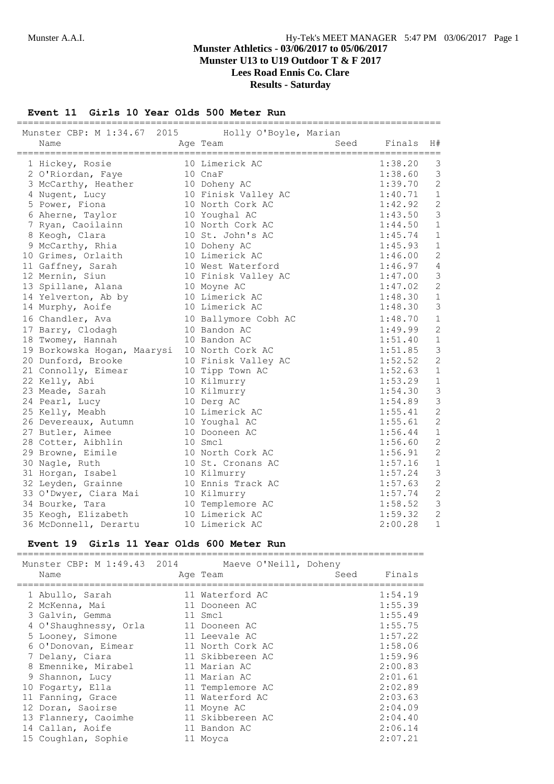## **Munster Athletics - 03/06/2017 to 05/06/2017 Munster U13 to U19 Outdoor T & F 2017 Lees Road Ennis Co. Clare Results - Saturday**

## **Event 11 Girls 10 Year Olds 500 Meter Run**

|                                                   |                      | ============================= |         |                |
|---------------------------------------------------|----------------------|-------------------------------|---------|----------------|
| Munster CBP: M 1:34.67 2015 Holly O'Boyle, Marian |                      |                               |         |                |
| Name                                              | Age Team             | Seed                          | Finals  | H#             |
| ====================================              |                      | ==================            |         |                |
| 1 Hickey, Rosie                                   | 10 Limerick AC       |                               | 1:38.20 | 3              |
| 2 O'Riordan, Faye                                 | 10 CnaF              |                               | 1:38.60 | 3              |
| 3 McCarthy, Heather                               | 10 Doheny AC         |                               | 1:39.70 | $\overline{c}$ |
| 4 Nugent, Lucy                                    | 10 Finisk Valley AC  |                               | 1:40.71 | $\mathbf{1}$   |
| 5 Power, Fiona                                    | 10 North Cork AC     |                               | 1:42.92 | $\overline{c}$ |
| 6 Aherne, Taylor                                  | 10 Youghal AC        |                               | 1:43.50 | 3              |
| 7 Ryan, Caoilainn                                 | 10 North Cork AC     |                               | 1:44.50 | $\mathbf{1}$   |
| 8 Keogh, Clara                                    | 10 St. John's AC     |                               | 1:45.74 | $1\,$          |
| 9 McCarthy, Rhia                                  | 10 Doheny AC         |                               | 1:45.93 | $\mathbf{1}$   |
| 10 Grimes, Orlaith                                | 10 Limerick AC       |                               | 1:46.00 | $\overline{c}$ |
| 11 Gaffney, Sarah                                 | 10 West Waterford    |                               | 1:46.97 | $\overline{4}$ |
| 12 Mernin, Siun                                   | 10 Finisk Valley AC  |                               | 1:47.00 | $\mathcal{S}$  |
| 13 Spillane, Alana                                | 10 Moyne AC          |                               | 1:47.02 | $\overline{c}$ |
| 14 Yelverton, Ab by                               | 10 Limerick AC       |                               | 1:48.30 | $\mathbf 1$    |
| 14 Murphy, Aoife                                  | 10 Limerick AC       |                               | 1:48.30 | 3              |
| 16 Chandler, Ava                                  | 10 Ballymore Cobh AC |                               | 1:48.70 | $\mathbf 1$    |
| 17 Barry, Clodagh                                 | 10 Bandon AC         |                               | 1:49.99 | $\overline{c}$ |
| 18 Twomey, Hannah                                 | 10 Bandon AC         |                               | 1:51.40 | $\mathbf 1$    |
| 19 Borkowska Hogan, Maarysi                       | 10 North Cork AC     |                               | 1:51.85 | 3              |
| 20 Dunford, Brooke                                | 10 Finisk Valley AC  |                               | 1:52.52 | $\overline{c}$ |
| 21 Connolly, Eimear                               | 10 Tipp Town AC      |                               | 1:52.63 | $1\,$          |
| 22 Kelly, Abi                                     | 10 Kilmurry          |                               | 1:53.29 | $\mathbf{1}$   |
| 23 Meade, Sarah                                   | 10 Kilmurry          |                               | 1:54.30 | 3              |
| 24 Pearl, Lucy                                    | 10 Derg AC           |                               | 1:54.89 | 3              |
| 25 Kelly, Meabh                                   | 10 Limerick AC       |                               | 1:55.41 | $\mathbf{2}$   |
| 26 Devereaux, Autumn                              | 10 Youghal AC        |                               | 1:55.61 | $\overline{c}$ |
| 27 Butler, Aimee                                  | 10 Dooneen AC        |                               | 1:56.44 | $\mathbf{1}$   |
| 28 Cotter, Aibhlin                                | 10 Smcl              |                               | 1:56.60 | $\overline{c}$ |
| 29 Browne, Eimile                                 | 10 North Cork AC     |                               | 1:56.91 | $\overline{c}$ |
| 30 Nagle, Ruth                                    | 10 St. Cronans AC    |                               | 1:57.16 | $\mathbf{1}$   |
| 31 Horgan, Isabel                                 | 10 Kilmurry          |                               | 1:57.24 | 3              |
| 32 Leyden, Grainne                                | 10 Ennis Track AC    |                               | 1:57.63 | $\mathbf{2}$   |
| 33 O'Dwyer, Ciara Mai                             | 10 Kilmurry          |                               | 1:57.74 | $\overline{c}$ |
| 34 Bourke, Tara                                   | 10 Templemore AC     |                               | 1:58.52 | $\mathcal{S}$  |
| 35 Keogh, Elizabeth                               | 10 Limerick AC       |                               | 1:59.32 | $\overline{c}$ |
| 36 McDonnell, Derartu                             | 10 Limerick AC       |                               | 2:00.28 | $\mathbf{1}$   |

#### **Event 19 Girls 11 Year Olds 600 Meter Run**

| Name                                                                                                           |                                                                     | Munster CBP: M 1:49.43 2014 Maeve O'Neill, Doheny<br>Age Team                                                                                         | Seed | Finals                                                                                          |
|----------------------------------------------------------------------------------------------------------------|---------------------------------------------------------------------|-------------------------------------------------------------------------------------------------------------------------------------------------------|------|-------------------------------------------------------------------------------------------------|
| 1 Abullo, Sarah<br>2 McKenna, Mai<br>3 Galvin, Gemma<br>5 Looney, Simone<br>7 Delany, Ciara<br>9 Shannon, Lucy | 4 O'Shaughnessy, Orla<br>6 O'Donovan, Eimear<br>8 Emennike, Mirabel | 11 Waterford AC<br>11 Dooneen AC<br>11 Smcl<br>11 Dooneen AC<br>11 Leevale AC<br>11 North Cork AC<br>11 Skibbereen AC<br>11 Marian AC<br>11 Marian AC |      | 1:54.19<br>1:55.39<br>1:55.49<br>1:55.75<br>1:57.22<br>1:58.06<br>1:59.96<br>2:00.83<br>2:01.61 |
| 10 Fogarty, Ella<br>11 Fanning, Grace                                                                          |                                                                     | 11 Templemore AC<br>11 Waterford AC                                                                                                                   |      | 2:02.89<br>2:03.63                                                                              |
| 12 Doran, Saoirse<br>14 Callan, Aoife                                                                          | 13 Flannery, Caoimhe                                                | 11 Moyne AC<br>11 Skibbereen AC<br>11 Bandon AC                                                                                                       |      | 2:04.09<br>2:04.40<br>2:06.14                                                                   |
|                                                                                                                | 15 Coughlan, Sophie                                                 | 11 Moyca                                                                                                                                              |      | 2:07.21                                                                                         |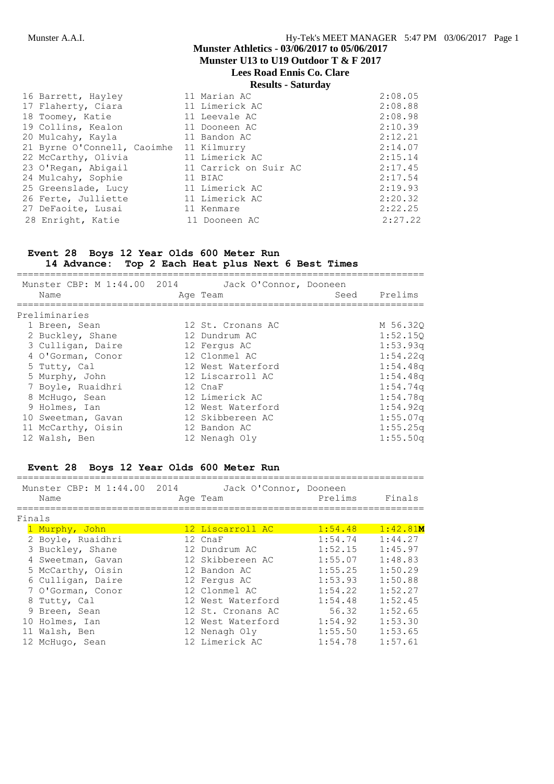**Munster U13 to U19 Outdoor T & F 2017**

# **Lees Road Ennis Co. Clare**

| 16 Barrett, Hayley                      | 11 Marian AC          | 2:08.05 |
|-----------------------------------------|-----------------------|---------|
| 17 Flaherty, Ciara                      | 11 Limerick AC        | 2:08.88 |
| 18 Toomey, Katie                        | 11 Leevale AC         | 2:08.98 |
| 19 Collins, Kealon                      | 11 Dooneen AC         | 2:10.39 |
| 20 Mulcahy, Kayla                       | 11 Bandon AC          | 2:12.21 |
| 21 Byrne O'Connell, Caoimhe 11 Kilmurry |                       | 2:14.07 |
| 22 McCarthy, Olivia                     | 11 Limerick AC        | 2:15.14 |
| 23 O'Regan, Abigail                     | 11 Carrick on Suir AC | 2:17.45 |
| 24 Mulcahy, Sophie                      | 11 BIAC               | 2:17.54 |
| 25 Greenslade, Lucy                     | 11 Limerick AC        | 2:19.93 |
| 26 Ferte, Julliette                     | 11 Limerick AC        | 2:20.32 |
| 27 DeFaoite, Lusai                      | 11 Kenmare            | 2:22.25 |
| 28 Enright, Katie                       | 11 Dooneen AC         | 2:27.22 |

#### **Event 28 Boys 12 Year Olds 600 Meter Run**

=========================================================================

# **14 Advance: Top 2 Each Heat plus Next 6 Best Times**

| Munster CBP: M 1:44.00 2014<br>Name | Jack O'Connor, Dooneen<br>Age Team | Seed | Prelims              |
|-------------------------------------|------------------------------------|------|----------------------|
| Preliminaries                       |                                    |      |                      |
| 1 Breen, Sean                       | 12 St. Cronans AC                  |      | M 56.320             |
| 2 Buckley, Shane                    | 12 Dundrum AC                      |      | 1:52.150             |
| 3 Culligan, Daire                   | 12 Fergus AC                       |      | 1:53.93q             |
| 4 O'Gorman, Conor                   | 12 Clonmel AC                      |      | 1:54.22q             |
| 5 Tutty, Cal                        | 12 West Waterford                  |      | 1:54.48q             |
| 5 Murphy, John                      | 12 Liscarroll AC                   |      | 1:54.48q             |
| 7 Boyle, Ruaidhri                   | 12 CnaF                            |      | 1:54.74q             |
| 8 McHugo, Sean                      | 12 Limerick AC                     |      | 1:54.78 <sub>q</sub> |
| 9 Holmes, Ian                       | 12 West Waterford                  |      | 1:54.92q             |
| 10 Sweetman, Gavan                  | 12 Skibbereen AC                   |      | 1:55.07q             |
| 11 McCarthy, Oisin                  | 12 Bandon AC                       |      | 1:55.25q             |
| 12 Walsh, Ben                       | 12 Nenagh Oly                      |      | 1:55.50q             |

#### **Event 28 Boys 12 Year Olds 600 Meter Run**

|        | Munster CBP: M 1:44.00 2014<br>Name | Jack O'Connor, Dooneen<br>Age Team | Prelims | Finals   |
|--------|-------------------------------------|------------------------------------|---------|----------|
| Finals |                                     |                                    |         |          |
|        | 1 Murphy, John                      | 12 Liscarroll AC                   | 1:54.48 | 1:42.81M |
|        | 2 Boyle, Ruaidhri                   | 12 CnaF                            | 1:54.74 | 1:44.27  |
|        | 3 Buckley, Shane                    | 12 Dundrum AC                      | 1:52.15 | 1:45.97  |
|        | 4 Sweetman, Gavan                   | 12 Skibbereen AC                   | 1:55.07 | 1:48.83  |
|        | 5 McCarthy, Oisin                   | 12 Bandon AC                       | 1:55.25 | 1:50.29  |
|        | 6 Culligan, Daire                   | 12 Fergus AC                       | 1:53.93 | 1:50.88  |
|        | 7 O'Gorman, Conor                   | 12 Clonmel AC                      | 1:54.22 | 1:52.27  |
|        | 8 Tutty, Cal                        | 12 West Waterford                  | 1:54.48 | 1:52.45  |
|        | 9 Breen, Sean                       | 12 St. Cronans AC                  | 56.32   | 1:52.65  |
|        | 10 Holmes, Ian                      | 12 West Waterford                  | 1:54.92 | 1:53.30  |
|        | 11 Walsh, Ben                       | 12 Nenagh Oly                      | 1:55.50 | 1:53.65  |

12 McHugo, Sean 12 Limerick AC 1:54.78 1:57.61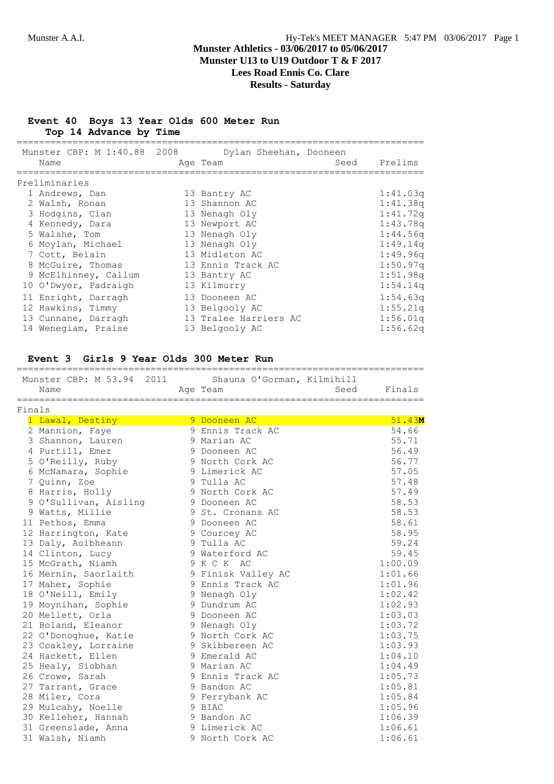#### **Event 40 Boys 13 Year Olds 600 Meter Run Top 14 Advance by Time**

| Munster CBP: M 1:40.88 2008 | Dylan Sheehan, Dooneen |      |          |
|-----------------------------|------------------------|------|----------|
| Name                        | Age Team               | Seed | Prelims  |
|                             |                        |      |          |
| Preliminaries               |                        |      |          |
| 1 Andrews, Dan              | 13 Bantry AC           |      | 1:41.03q |
| 2 Walsh, Ronan              | 13 Shannon AC          |      | 1:41.38q |
| 3 Hodgins, Cian             | 13 Nenagh Oly          |      | 1:41.72q |
| 4 Kennedy, Dara             | 13 Newport AC          |      | 1:43.78q |
| 5 Walshe, Tom               | 13 Nenagh Oly          |      | 1:44.56q |
| 6 Moylan, Michael           | 13 Nenagh Oly          |      | 1:49.14q |
| 7 Cott, Beíain              | 13 Midleton AC         |      | 1:49.96q |
| 8 McGuire, Thomas           | 13 Ennis Track AC      |      | 1:50.97q |
| 9 McElhinney, Callum        | 13 Bantry AC           |      | 1:51.98q |
| 10 O'Dwyer, Padraigh        | 13 Kilmurry            |      | 1:54.14q |
| 11 Enright, Darragh         | 13 Dooneen AC          |      | 1:54.63q |
| 12 Hawkins, Timmy           | 13 Belgooly AC         |      | 1:55.21q |
| 13 Cunnane, Darragh         | 13 Tralee Harriers AC  |      | 1:56.01q |
| 14 Wenegiam, Praise         | 13 Belgooly AC         |      | 1:56.62q |

#### **Event 3 Girls 9 Year Olds 300 Meter Run**

|        | Munster CBP: M 53.94 2011<br>Name | Shauna O'Gorman, Kilmihill<br>Age Team | Seed | Finals  |
|--------|-----------------------------------|----------------------------------------|------|---------|
| Finals |                                   |                                        |      |         |
|        | 1 Lawal, Destiny                  | 9 Dooneen AC                           |      | 51.43M  |
|        | 2 Mannion, Faye                   | 9 Ennis Track AC                       |      | 54.66   |
|        | 3 Shannon, Lauren                 | 9 Marian AC                            |      | 55.71   |
|        | 4 Purtill, Emer                   | 9 Dooneen AC                           |      | 56.49   |
|        | 5 O'Reilly, Ruby                  | 9 North Cork AC                        |      | 56.77   |
|        | 6 McNamara, Sophie                | 9 Limerick AC                          |      | 57.05   |
|        | 7 Quinn, Zoe                      | 9 Tulla AC                             |      | 57.48   |
|        | 8 Harris, Holly                   | 9 North Cork AC                        |      | 57.49   |
|        | 9 O'Sullivan, Aisling             | 9 Dooneen AC                           |      | 58.53   |
|        | 9 Watts, Millie                   | 9 St. Cronans AC                       |      | 58.53   |
|        | 11 Pethos, Emma                   | 9 Dooneen AC                           |      | 58.61   |
|        | 12 Harrington, Kate               | 9 Courcey AC                           |      | 58.95   |
|        | 13 Daly, Aoibheann                | 9 Tulla AC                             |      | 59.24   |
|        | 14 Clinton, Lucy                  | 9 Waterford AC                         |      | 59.45   |
|        | 15 McGrath, Niamh                 | 9 K C K AC                             |      | 1:00.09 |
|        | 16 Mernin, Saorlaith              | 9 Finisk Valley AC                     |      | 1:01.66 |
|        | 17 Maher, Sophie                  | 9 Ennis Track AC                       |      | 1:01.96 |
|        | 18 O'Neill, Emily                 | 9 Nenagh Oly                           |      | 1:02.42 |
|        | 19 Moynihan, Sophie               | 9 Dundrum AC                           |      | 1:02.93 |
|        | 20 Mellett, Orla                  | 9 Dooneen AC                           |      | 1:03.03 |
|        | 21 Boland, Eleanor                | 9 Nenagh Oly                           |      | 1:03.72 |
|        | 22 O'Donoghue, Katie              | 9 North Cork AC                        |      | 1:03.75 |
|        | 23 Coakley, Lorraine              | 9 Skibbereen AC                        |      | 1:03.93 |
|        | 24 Hackett, Ellen                 | 9 Emerald AC                           |      | 1:04.10 |
|        | 25 Healy, Siobhan                 | 9 Marian AC                            |      | 1:04.49 |
|        | 26 Crowe, Sarah                   | 9 Ennis Track AC                       |      | 1:05.73 |
|        | 27 Tarrant, Grace                 | 9 Bandon AC                            |      | 1:05.81 |
|        | 28 Miler, Cora                    | 9 Ferrybank AC                         |      | 1:05.84 |
|        | 29 Mulcahy, Noelle                | 9 BIAC                                 |      | 1:05.96 |
|        | 30 Kelleher, Hannah               | 9 Bandon AC                            |      | 1:06.39 |
|        | 31 Greenslade, Anna               | 9 Limerick AC                          |      | 1:06.61 |
|        | 31 Walsh, Niamh                   | 9 North Cork AC                        |      | 1:06.61 |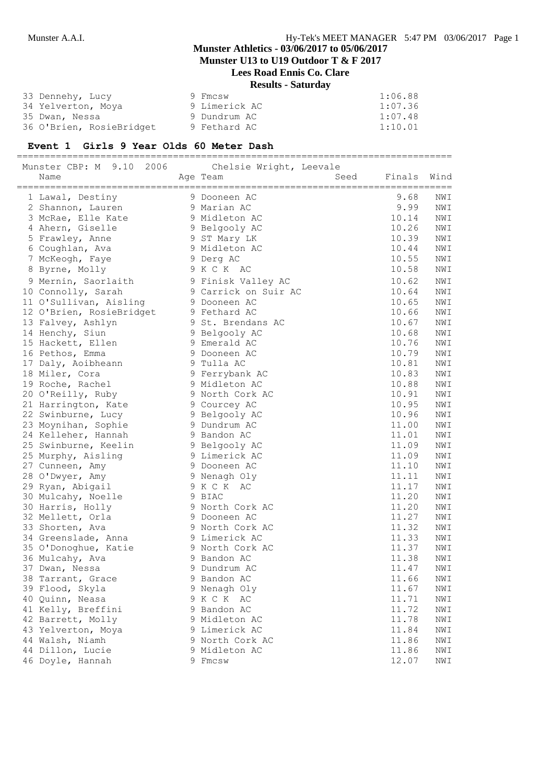**Munster U13 to U19 Outdoor T & F 2017**

# **Lees Road Ennis Co. Clare Results - Saturday**

| 33 Dennehy, Lucy         | 9 Fmcsw       | 1:06.88 |
|--------------------------|---------------|---------|
| 34 Yelverton, Moya       | 9 Limerick AC | 1:07.36 |
| 35 Dwan, Nessa           | 9 Dundrum AC  | 1:07.48 |
| 36 O'Brien, RosieBridget | 9 Fethard AC  | 1:10.01 |

#### **Event 1 Girls 9 Year Olds 60 Meter Dash**

============================================================================== Munster CBP: M 9.10 2006 Chelsie Wright, Leevale

| TIMITO COT<br><b>⊃ • ⊥ ∪</b><br>といいい<br>Name | CHCLOIC WILGHE, BCCVOIC<br>Age Team<br>Seed | Finals | Wind           |
|----------------------------------------------|---------------------------------------------|--------|----------------|
| 1 Lawal, Destiny                             | 9 Dooneen AC                                | 9.68   | NWI            |
| 2 Shannon, Lauren                            | 9 Marian AC                                 | 9.99   | NWI            |
| 3 McRae, Elle Kate                           | 9 Midleton AC                               | 10.14  | NWI            |
| 4 Ahern, Giselle                             | 9 Belgooly AC                               | 10.26  | NWI            |
| 5 Frawley, Anne                              | 9 ST Mary LK                                | 10.39  | NWI            |
| 6 Coughlan, Ava                              | 9 Midleton AC                               | 10.44  | NWI            |
| 7 McKeogh, Faye                              | 9 Derg AC                                   | 10.55  | NWI            |
| 8 Byrne, Molly                               | 9 K C K AC                                  | 10.58  | NWI            |
| 9 Mernin, Saorlaith                          | 9 Finisk Valley AC                          | 10.62  | NWI            |
| 10 Connolly, Sarah                           | 9 Carrick on Suir AC                        | 10.64  | NWI            |
| 11 O'Sullivan, Aisling                       | 9 Dooneen AC                                | 10.65  | NWI            |
| 12 O'Brien, RosieBridget                     | 9 Fethard AC                                | 10.66  | NWI            |
| 13 Falvey, Ashlyn                            | 9 St. Brendans AC                           | 10.67  | NWI            |
| 14 Henchy, Siun                              | 9 Belgooly AC                               | 10.68  | NWI            |
| 15 Hackett, Ellen                            | 9 Emerald AC                                | 10.76  | NWI            |
| 16 Pethos, Emma                              | 9 Dooneen AC                                | 10.79  | $\texttt{NWI}$ |
| 17 Daly, Aoibheann                           | 9 Tulla AC                                  | 10.81  | NWI            |
| 18 Miler, Cora                               | 9 Ferrybank AC                              | 10.83  | NWI            |
| 19 Roche, Rachel                             | 9 Midleton AC                               | 10.88  | NWI            |
| 20 O'Reilly, Ruby                            | 9 North Cork AC                             | 10.91  | NWI            |
| 21 Harrington, Kate                          | 9 Courcey AC                                | 10.95  | NWI            |
| 22 Swinburne, Lucy                           | 9 Belgooly AC                               | 10.96  | NWI            |
| 23 Moynihan, Sophie                          | 9 Dundrum AC                                | 11.00  | NWI            |
| 24 Kelleher, Hannah                          | 9 Bandon AC                                 | 11.01  | NWI            |
| 25 Swinburne, Keelin                         | 9 Belgooly AC                               | 11.09  | NWI            |
| 25 Murphy, Aisling                           | 9 Limerick AC                               | 11.09  | NWI            |
| 27 Cunneen, Amy                              | 9 Dooneen AC                                | 11.10  | NWI            |
| 28 O'Dwyer, Amy                              | 9 Nenagh Oly                                | 11.11  | NWI            |
| 29 Ryan, Abigail                             | 9 K C K AC                                  | 11.17  | NWI            |
| 30 Mulcahy, Noelle                           | 9 BIAC                                      | 11.20  | NWI            |
| 30 Harris, Holly                             | 9 North Cork AC                             | 11.20  | NWI            |
| 32 Mellett, Orla                             | 9 Dooneen AC                                | 11.27  | NWI            |
| 33 Shorten, Ava                              | 9 North Cork AC                             | 11.32  | NWI            |
| 34 Greenslade, Anna                          | 9 Limerick AC                               | 11.33  | NWI            |
| 35 O'Donoghue, Katie                         | 9 North Cork AC                             | 11.37  | NWI            |
| 36 Mulcahy, Ava                              | 9 Bandon AC                                 | 11.38  | NWI            |
| 37 Dwan, Nessa                               | 9 Dundrum AC                                | 11.47  | NWI            |
| 38 Tarrant, Grace                            | 9 Bandon AC                                 | 11.66  | NWI            |
| 39 Flood, Skyla                              | 9 Nenagh Oly                                | 11.67  | NWI            |
| 40 Quinn, Neasa                              | 9 K C K AC                                  | 11.71  | NWI            |
| 41 Kelly, Breffini                           | 9 Bandon AC                                 | 11.72  | NWI            |
| 42 Barrett, Molly                            | 9 Midleton AC                               | 11.78  | NWI            |
| 43 Yelverton, Moya                           | 9 Limerick AC                               | 11.84  | NWI            |
| 44 Walsh, Niamh                              | 9 North Cork AC                             | 11.86  | NWI            |
| 44 Dillon, Lucie                             | 9 Midleton AC                               | 11.86  | NWI            |
| 46 Doyle, Hannah                             | 9 Fmcsw                                     | 12.07  | NWI            |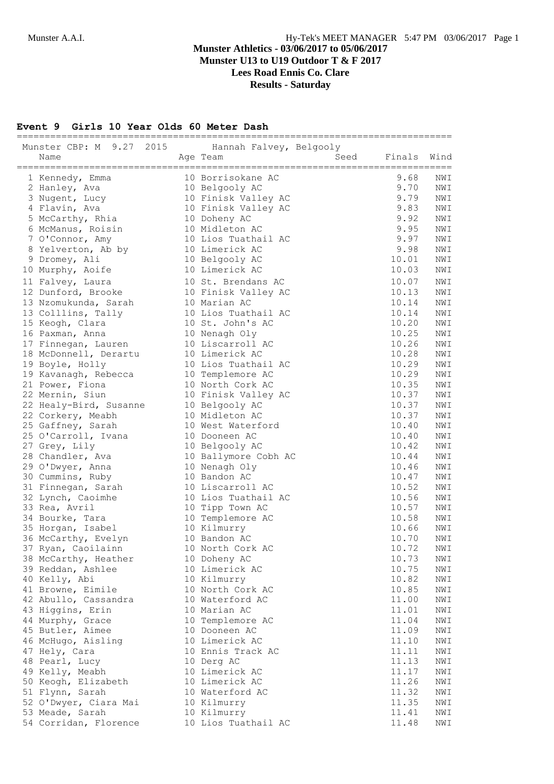#### **Event 9 Girls 10 Year Olds 60 Meter Dash**

| 2015<br>Munster CBP: M 9.27<br>Name      | ===============================<br>Hannah Falvey, Belgooly<br>Seed<br>Age Team | Finals         | Wind       |
|------------------------------------------|--------------------------------------------------------------------------------|----------------|------------|
| 1 Kennedy, Emma                          | 10 Borrisokane AC                                                              | 9.68           | NWI        |
| 2 Hanley, Ava                            | 10 Belgooly AC                                                                 | 9.70           | NWI        |
| 3 Nugent, Lucy                           | 10 Finisk Valley AC                                                            | 9.79           | NWI        |
| 4 Flavin, Ava                            | 10 Finisk Valley AC                                                            | 9.83           | NWI        |
| 5 McCarthy, Rhia                         | 10 Doheny AC                                                                   | 9.92           | NWI        |
| 6 McManus, Roisin                        | 10 Midleton AC                                                                 | 9.95           | NWI        |
| 7 O'Connor, Amy                          | 10 Lios Tuathail AC                                                            | 9.97           | NWI        |
| 8 Yelverton, Ab by                       | 10 Limerick AC                                                                 | 9.98           | NWI        |
| 9 Dromey, Ali                            | 10 Belgooly AC                                                                 | 10.01          | NWI        |
| 10 Murphy, Aoife                         | 10 Limerick AC                                                                 | 10.03          | NWI        |
| 11 Falvey, Laura                         | 10 St. Brendans AC                                                             | 10.07          | NWI        |
| 12 Dunford, Brooke                       | 10 Finisk Valley AC                                                            | 10.13          | NWI        |
| 13 Nzomukunda, Sarah                     | 10 Marian AC                                                                   | 10.14          | NWI        |
| 13 Colllins, Tally                       | 10 Lios Tuathail AC                                                            | 10.14          | NWI        |
| 15 Keogh, Clara                          | 10 St. John's AC                                                               | 10.20          | NWI        |
| 16 Paxman, Anna                          | 10 Nenagh Oly                                                                  | 10.25          | NWI        |
| 17 Finnegan, Lauren                      | 10 Liscarroll AC                                                               | 10.26          | NWI        |
| 18 McDonnell, Derartu                    | 10 Limerick AC                                                                 | 10.28          | NWI        |
| 19 Boyle, Holly                          | 10 Lios Tuathail AC                                                            | 10.29          | NWI        |
| 19 Kavanagh, Rebecca                     | 10 Templemore AC                                                               | 10.29          | NWI        |
| 21 Power, Fiona<br>22 Mernin, Siun       | 10 North Cork AC<br>10 Finisk Valley AC                                        | 10.35<br>10.37 | NWI<br>NWI |
| 22 Healy-Bird, Susanne                   | 10 Belgooly AC                                                                 | 10.37          | NWI        |
| 22 Corkery, Meabh                        | 10 Midleton AC                                                                 | 10.37          | NWI        |
| 25 Gaffney, Sarah                        | 10 West Waterford                                                              | 10.40          | NWI        |
| 25 O'Carroll, Ivana                      | 10 Dooneen AC                                                                  | 10.40          | NWI        |
| 27 Grey, Lily                            | 10 Belgooly AC                                                                 | 10.42          | NWI        |
| 28 Chandler, Ava                         | 10 Ballymore Cobh AC                                                           | 10.44          | NWI        |
| 29 O'Dwyer, Anna                         | 10 Nenagh Oly                                                                  | 10.46          | NWI        |
| 30 Cummins, Ruby                         | 10 Bandon AC                                                                   | 10.47          | NWI        |
| 31 Finnegan, Sarah                       | 10 Liscarroll AC                                                               | 10.52          | NWI        |
| 32 Lynch, Caoimhe                        | 10 Lios Tuathail AC                                                            | 10.56          | NWI        |
| 33 Rea, Avril                            | 10 Tipp Town AC                                                                | 10.57          | NWI        |
| 34 Bourke, Tara                          | 10 Templemore AC                                                               | 10.58          | NWI        |
| 35 Horgan, Isabel                        | 10 Kilmurry                                                                    | 10.66          | NWI        |
| 36 McCarthy, Evelyn                      | 10 Bandon AC                                                                   | 10.70          | NWI        |
| 37 Ryan, Caoilainn                       | 10 North Cork AC                                                               | 10.72          | NWI        |
| 38 McCarthy, Heather                     | 10 Doheny AC                                                                   | 10.73          | NWI        |
| 39 Reddan, Ashlee                        | 10 Limerick AC                                                                 | 10.75          | NWI        |
| 40 Kelly, Abi                            | 10 Kilmurry                                                                    | 10.82          | NWI        |
| 41 Browne, Eimile                        | 10 North Cork AC                                                               | 10.85          | NWI        |
| 42 Abullo, Cassandra                     | 10 Waterford AC                                                                | 11.00          | NWI        |
| 43 Higgins, Erin                         | 10 Marian AC                                                                   | 11.01          | NWI        |
| 44 Murphy, Grace                         | 10 Templemore AC                                                               | 11.04          | NWI        |
| 45 Butler, Aimee                         | 10 Dooneen AC                                                                  | 11.09          | NWI        |
| 46 McHugo, Aisling                       | 10 Limerick AC                                                                 | 11.10          | NWI        |
| 47 Hely, Cara                            | 10 Ennis Track AC                                                              | 11.11          | NWI        |
| 48 Pearl, Lucy                           | 10 Derg AC                                                                     | 11.13          | NWI        |
| 49 Kelly, Meabh                          | 10 Limerick AC                                                                 | 11.17          | NWI        |
| 50 Keogh, Elizabeth                      | 10 Limerick AC                                                                 | 11.26          | NWI        |
| 51 Flynn, Sarah                          | 10 Waterford AC                                                                | 11.32          | NWI        |
| 52 O'Dwyer, Ciara Mai                    | 10 Kilmurry                                                                    | 11.35<br>11.41 | NWI        |
| 53 Meade, Sarah<br>54 Corridan, Florence | 10 Kilmurry<br>10 Lios Tuathail AC                                             | 11.48          | NWI<br>NWI |
|                                          |                                                                                |                |            |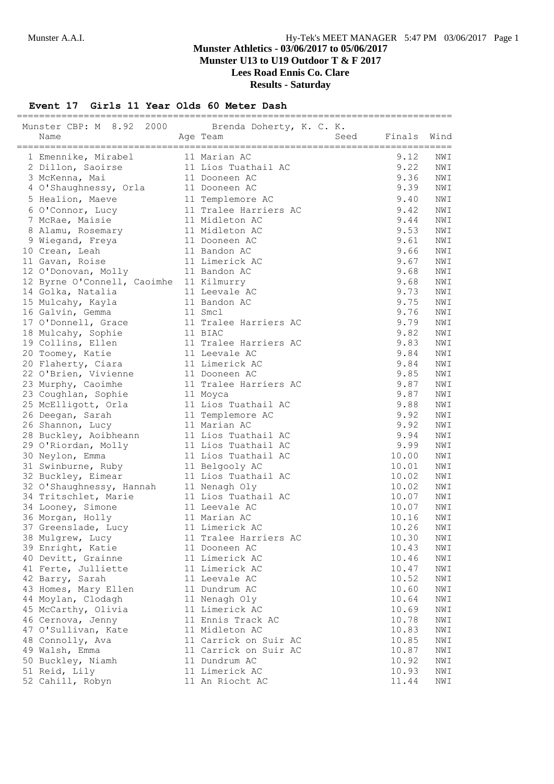## **Munster Athletics - 03/06/2017 to 05/06/2017 Munster U13 to U19 Outdoor T & F 2017 Lees Road Ennis Co. Clare**

**Results - Saturday**

#### **Event 17 Girls 11 Year Olds 60 Meter Dash**

| Munster CBP: M 8.92 2000 Brenda Doherty, K. C. K. |  |                                   |                |                |  |
|---------------------------------------------------|--|-----------------------------------|----------------|----------------|--|
| Name                                              |  | Seed<br>Age Team                  | Finals         | Wind           |  |
| 1 Emennike, Mirabel                               |  | 11 Marian AC                      | 9.12           | NWI            |  |
| 2 Dillon, Saoirse                                 |  | 11 Lios Tuathail AC               | 9.22           | NWI            |  |
| 3 McKenna, Mai                                    |  | 11 Dooneen AC                     | 9.36           | NWI            |  |
| 4 O'Shaughnessy, Orla                             |  | 11 Dooneen AC                     | 9.39           | NWI            |  |
| 5 Healion, Maeve                                  |  | 11 Templemore AC                  | 9.40           | NWI            |  |
| 6 O'Connor, Lucy                                  |  | 11 Tralee Harriers AC             | 9.42           | NWI            |  |
| 7 McRae, Maisie                                   |  | 11 Midleton AC                    | 9.44           | NWI            |  |
| 8 Alamu, Rosemary                                 |  | 11 Midleton AC                    | 9.53           | NWI            |  |
| 9 Wiegand, Freya                                  |  | 11 Dooneen AC                     | 9.61           | NWI            |  |
| 10 Crean, Leah                                    |  | 11 Bandon AC                      | 9.66           | NWI            |  |
| 11 Gavan, Roise                                   |  | 11 Limerick AC                    | 9.67           | NWI            |  |
| 12 O'Donovan, Molly                               |  | 11 Bandon AC                      | 9.68           | NWI            |  |
| 12 Byrne O'Connell, Caoimhe                       |  | 11 Kilmurry                       | 9.68           | NWI            |  |
| 14 Golka, Natalia                                 |  | 11 Leevale AC                     | 9.73           | NWI            |  |
| 15 Mulcahy, Kayla                                 |  | 11 Bandon AC                      | 9.75           | NWI            |  |
| 16 Galvin, Gemma                                  |  | 11 Smcl                           | 9.76           | NWI            |  |
| 17 O'Donnell, Grace                               |  | 11 Tralee Harriers AC             | 9.79           | NWI            |  |
| 18 Mulcahy, Sophie                                |  | 11 BIAC                           | 9.82           | NWI            |  |
| 19 Collins, Ellen                                 |  | 11 Tralee Harriers AC             | 9.83           | NWI            |  |
| 20 Toomey, Katie                                  |  | 11 Leevale AC                     | 9.84           | NWI            |  |
| 20 Flaherty, Ciara                                |  | 11 Limerick AC                    | 9.84           | NWI            |  |
| 22 O'Brien, Vivienne                              |  | 11 Dooneen AC                     | 9.85           | NWI            |  |
| 23 Murphy, Caoimhe                                |  | 11 Tralee Harriers AC             | 9.87           | NWI            |  |
| 23 Coughlan, Sophie                               |  | 11 Moyca                          | 9.87           | NWI            |  |
| 25 McElligott, Orla                               |  | 11 Lios Tuathail AC               | 9.88           | NWI            |  |
| 26 Deegan, Sarah                                  |  | 11 Templemore AC                  | 9.92           | NWI            |  |
| 26 Shannon, Lucy                                  |  | 11 Marian AC                      | 9.92           | NWI            |  |
| 28 Buckley, Aoibheann                             |  | 11 Lios Tuathail AC               | 9.94           | NWI            |  |
| 29 O'Riordan, Molly                               |  | 11 Lios Tuathail AC               | 9.99           | NWI            |  |
| 30 Neylon, Emma                                   |  | 11 Lios Tuathail AC               | 10.00          | $\texttt{NWI}$ |  |
| 31 Swinburne, Ruby                                |  | 11 Belgooly AC                    | 10.01          | NWI            |  |
| 32 Buckley, Eimear                                |  | 11 Lios Tuathail AC               | 10.02          | NWI            |  |
| 32 O'Shaughnessy, Hannah                          |  | 11 Nenagh Oly                     | 10.02          | NWI            |  |
| 34 Tritschlet, Marie                              |  | 11 Lios Tuathail AC               | 10.07          | NWI            |  |
| 34 Looney, Simone                                 |  | 11 Leevale AC                     | 10.07          | NWI            |  |
| 36 Morgan, Holly                                  |  | 11 Marian AC                      | 10.16          | NWI            |  |
| 37 Greenslade, Lucy                               |  | 11 Limerick AC                    | 10.26          | NWI            |  |
| 38 Mulgrew, Lucy                                  |  | 11 Tralee Harriers AC             | 10.30          | NWI            |  |
| 39 Enright, Katie                                 |  | 11 Dooneen AC                     | 10.43          | NWI            |  |
| 40 Devitt, Grainne                                |  | 11 Limerick AC                    | 10.46          | NWI            |  |
| 41 Ferte, Julliette                               |  | 11 Limerick AC                    | 10.47          | NWI            |  |
| 42 Barry, Sarah                                   |  | 11 Leevale AC                     | 10.52          | NWI            |  |
| 43 Homes, Mary Ellen                              |  | 11 Dundrum AC                     | 10.60          | NWI            |  |
| 44 Moylan, Clodagh                                |  | 11 Nenagh Oly                     | 10.64          | NWI            |  |
| 45 McCarthy, Olivia                               |  | 11 Limerick AC                    | 10.69          | NWI            |  |
| 46 Cernova, Jenny                                 |  | 11 Ennis Track AC                 | 10.78          | NWI            |  |
| 47 O'Sullivan, Kate                               |  | 11 Midleton AC                    | 10.83          | NWI            |  |
| 48 Connolly, Ava                                  |  | 11 Carrick on Suir AC             | 10.85          | NWI            |  |
| 49 Walsh, Emma                                    |  | 11 Carrick on Suir AC             | 10.87          | NWI            |  |
| 50 Buckley, Niamh                                 |  | 11 Dundrum AC                     | 10.92          | NWI            |  |
| 51 Reid, Lily<br>52 Cahill, Robyn                 |  | 11 Limerick AC<br>11 An Riocht AC | 10.93<br>11.44 | NWI<br>NWI     |  |
|                                                   |  |                                   |                |                |  |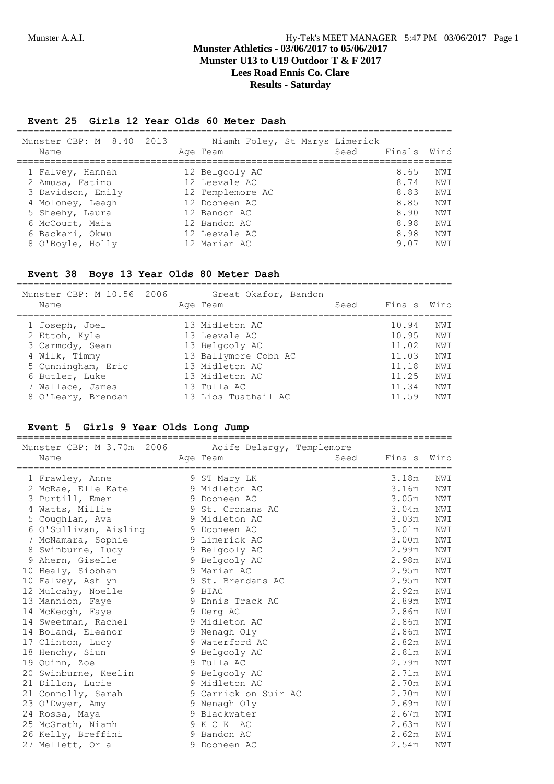#### **Event 25 Girls 12 Year Olds 60 Meter Dash**

| Munster CBP: M 8.40 2013<br>Name |  |  | Age Team         |  | Niamh Foley, St Marys Limerick<br>Seed | Finals | Wind |
|----------------------------------|--|--|------------------|--|----------------------------------------|--------|------|
| 1 Falvey, Hannah                 |  |  | 12 Belgooly AC   |  |                                        | 8.65   | NWI  |
| 2 Amusa, Fatimo                  |  |  | 12 Leevale AC    |  |                                        | 8.74   | NWI  |
| 3 Davidson, Emily                |  |  | 12 Templemore AC |  |                                        | 8.83   | NWI  |
| 4 Moloney, Leagh                 |  |  | 12 Dooneen AC    |  |                                        | 8.85   | NWI  |
| 5 Sheehy, Laura                  |  |  | 12 Bandon AC     |  |                                        | 8.90   | NW T |
| 6 McCourt, Maia                  |  |  | 12 Bandon AC     |  |                                        | 8.98   | NWI  |
| 6 Backari, Okwu                  |  |  | 12 Leevale AC    |  |                                        | 8.98   | NWI  |
| 8 O'Boyle, Holly                 |  |  | 12 Marian AC     |  |                                        | 9.07   | NW T |
|                                  |  |  |                  |  |                                        |        |      |

#### **Event 38 Boys 13 Year Olds 80 Meter Dash**

Munster CBP: M 10.56 2006 Great Okafor, Bandon Name Age Team Seed Finals Wind ============================================================================== 1 Joseph, Joel 13 Midleton AC 10.94 NWI 2 Ettoh, Kyle 13 Leevale AC 10.95 NWI 3 Carmody, Sean 13 Belgooly AC 11.02 NWI 4 Wilk, Timmy 13 Ballymore Cobh AC 11.03 NWI 5 Cunningham, Eric 13 Midleton AC 11.18 NWI 6 Butler, Luke 13 Midleton AC 11.25 NWI 7 Wallace, James 13 Tulla AC 11.34 NWI 8 O'Leary, Brendan 13 Lios Tuathail AC 11.59 NWI

==============================================================================

#### **Event 5 Girls 9 Year Olds Long Jump**

| Munster CBP: M 3.70m 2006<br>Name |   | Aoife Delargy, Templemore<br>Age Team | Seed | Finals | Wind |
|-----------------------------------|---|---------------------------------------|------|--------|------|
| 1 Frawley, Anne                   |   | 9 ST Mary LK                          |      | 3.18m  | NWI  |
| 2 McRae, Elle Kate                |   | 9 Midleton AC                         |      | 3.16m  | NWI  |
| 3 Purtill, Emer                   |   | 9 Dooneen AC                          |      | 3.05m  | NWI  |
| 4 Watts, Millie                   |   | 9 St. Cronans AC                      |      | 3.04m  | NWI  |
| 5 Coughlan, Ava                   |   | 9 Midleton AC                         |      | 3.03m  | NWI  |
| 6 O'Sullivan, Aisling             |   | 9 Dooneen AC                          |      | 3.01m  | NWI  |
| 7 McNamara, Sophie                |   | 9 Limerick AC                         |      | 3.00m  | NWI  |
| 8 Swinburne, Lucy                 |   | 9 Belgooly AC                         |      | 2.99m  | NWI  |
| 9 Ahern, Giselle                  |   | 9 Belgooly AC                         |      | 2.98m  | NWI  |
| 10 Healy, Siobhan                 |   | 9 Marian AC                           |      | 2.95m  | NWI  |
| 10 Falvey, Ashlyn                 |   | 9 St. Brendans AC                     |      | 2.95m  | NWI  |
| 12 Mulcahy, Noelle                |   | 9 BIAC                                |      | 2.92m  | NWI  |
| 13 Mannion, Faye                  |   | 9 Ennis Track AC                      |      | 2.89m  | NWI  |
| 14 McKeogh, Faye                  |   | 9 Derg AC                             |      | 2.86m  | NWI  |
| 14 Sweetman, Rachel               |   | 9 Midleton AC                         |      | 2.86m  | NWI  |
| 14 Boland, Eleanor                |   | 9 Nenagh Oly                          |      | 2.86m  | NWI  |
| 17 Clinton, Lucy                  |   | 9 Waterford AC                        |      | 2.82m  | NWI  |
| 18 Henchy, Siun                   |   | 9 Belgooly AC                         |      | 2.81m  | NWI  |
| 19 Quinn, Zoe                     |   | 9 Tulla AC                            |      | 2.79m  | NWI  |
| 20 Swinburne, Keelin              |   | 9 Belgooly AC                         |      | 2.71m  | NWI  |
| 21 Dillon, Lucie                  |   | 9 Midleton AC                         |      | 2.70m  | NWI  |
| 21 Connolly, Sarah                |   | 9 Carrick on Suir AC                  |      | 2.70m  | NWI  |
| 23 O'Dwyer, Amy                   |   | 9 Nenagh Oly                          |      | 2.69m  | NWI  |
| 24 Rossa, Maya                    |   | 9 Blackwater                          |      | 2.67m  | NWI  |
| 25 McGrath, Niamh                 |   | 9 K C K AC                            |      | 2.63m  | NWI  |
| 26 Kelly, Breffini                | 9 | Bandon AC                             |      | 2.62m  | NWI  |
| 27 Mellett, Orla                  | 9 | Dooneen AC                            |      | 2.54m  | NWI  |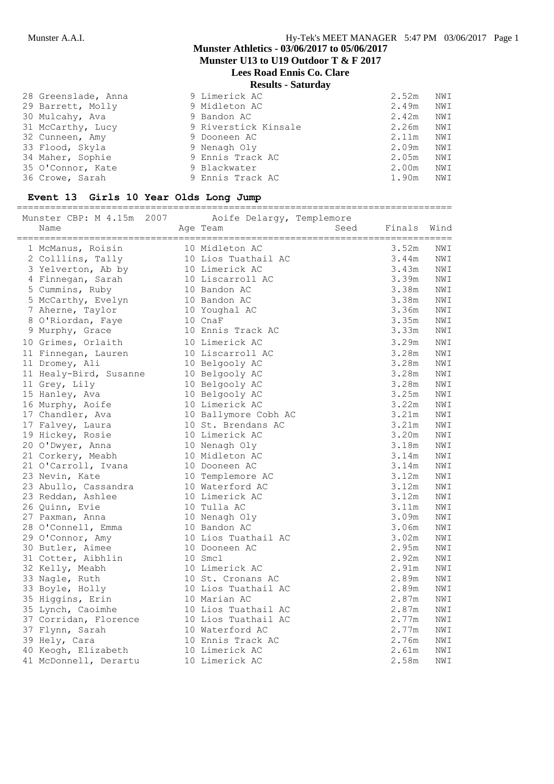## **Munster Athletics - 03/06/2017 to 05/06/2017 Munster U13 to U19 Outdoor T & F 2017**

**Lees Road Ennis Co. Clare**

# **Results - Saturday**

| 28 Greenslade, Anna | 9 Limerick AC        | 2.52m | NWI |
|---------------------|----------------------|-------|-----|
| 29 Barrett, Molly   | 9 Midleton AC        | 2.49m | NWI |
| 30 Mulcahy, Ava     | 9 Bandon AC          | 2.42m | NWI |
| 31 McCarthy, Lucy   | 9 Riverstick Kinsale | 2.26m | NWI |
| 32 Cunneen, Amy     | 9 Dooneen AC         | 2.11m | NWI |
| 33 Flood, Skyla     | 9 Nenagh Oly         | 2.09m | NWI |
| 34 Maher, Sophie    | 9 Ennis Track AC     | 2.05m | NWI |
| 35 O'Connor, Kate   | 9 Blackwater         | 2.00m | NWI |
| 36 Crowe, Sarah     | 9 Ennis Track AC     | 1.90m | NWI |

#### **Event 13 Girls 10 Year Olds Long Jump**

==============================================================================

| Munster CBP: M 4.15m 2007 | Aoife Delargy, Templemore |      |        |      |
|---------------------------|---------------------------|------|--------|------|
| Name                      | Age Team                  | Seed | Finals | Wind |
| 1 McManus, Roisin         | 10 Midleton AC            |      | 3.52m  | NWI  |
| 2 Colllins, Tally         | 10 Lios Tuathail AC       |      | 3.44m  | NWI  |
| 3 Yelverton, Ab by        | 10 Limerick AC            |      | 3.43m  | NWI  |
| 4 Finnegan, Sarah         | 10 Liscarroll AC          |      | 3.39m  | NWI  |
| 5 Cummins, Ruby           | 10 Bandon AC              |      | 3.38m  | NWI  |
| 5 McCarthy, Evelyn        | 10 Bandon AC              |      | 3.38m  | NWI  |
| 7 Aherne, Taylor          | 10 Youghal AC             |      | 3.36m  | NWI  |
| 8 O'Riordan, Faye         | 10 CnaF                   |      | 3.35m  | NWI  |
| 9 Murphy, Grace           | 10 Ennis Track AC         |      | 3.33m  | NWI  |
| 10 Grimes, Orlaith        | 10 Limerick AC            |      | 3.29m  | NWI  |
| 11 Finnegan, Lauren       | 10 Liscarroll AC          |      | 3.28m  | NWI  |
| 11 Dromey, Ali            | 10 Belgooly AC            |      | 3.28m  | NWI  |
| 11 Healy-Bird, Susanne    | 10 Belgooly AC            |      | 3.28m  | NWI  |
| 11 Grey, Lily             | 10 Belgooly AC            |      | 3.28m  | NWI  |
| 15 Hanley, Ava            | 10 Belgooly AC            |      | 3.25m  | NWI  |
| 16 Murphy, Aoife          | 10 Limerick AC            |      | 3.22m  | NWI  |
| 17 Chandler, Ava          | 10 Ballymore Cobh AC      |      | 3.21m  | NWI  |
| 17 Falvey, Laura          | 10 St. Brendans AC        |      | 3.21m  | NWI  |
| 19 Hickey, Rosie          | 10 Limerick AC            |      | 3.20m  | NWI  |
| 20 O'Dwyer, Anna          | 10 Nenagh Oly             |      | 3.18m  | NWI  |
| 21 Corkery, Meabh         | 10 Midleton AC            |      | 3.14m  | NWI  |
| 21 O'Carroll, Ivana       | 10 Dooneen AC             |      | 3.14m  | NWI  |
| 23 Nevin, Kate            | 10 Templemore AC          |      | 3.12m  | NWI  |
| 23 Abullo, Cassandra      | 10 Waterford AC           |      | 3.12m  | NWI  |
| 23 Reddan, Ashlee         | 10 Limerick AC            |      | 3.12m  | NWI  |
| 26 Quinn, Evie            | 10 Tulla AC               |      | 3.11m  | NWI  |
| 27 Paxman, Anna           | 10 Nenagh Oly             |      | 3.09m  | NWI  |
| 28 O'Connell, Emma        | 10 Bandon AC              |      | 3.06m  | NWI  |
| 29 O'Connor, Amy          | 10 Lios Tuathail AC       |      | 3.02m  | NWI  |
| 30 Butler, Aimee          | 10 Dooneen AC             |      | 2.95m  | NWI  |
| 31 Cotter, Aibhlin        | 10 Smcl                   |      | 2.92m  | NWI  |
| 32 Kelly, Meabh           | 10 Limerick AC            |      | 2.91m  | NWI  |
| 33 Nagle, Ruth            | 10 St. Cronans AC         |      | 2.89m  | NWI  |
| 33 Boyle, Holly           | 10 Lios Tuathail AC       |      | 2.89m  | NWI  |
| 35 Higgins, Erin          | 10 Marian AC              |      | 2.87m  | NWI  |
| 35 Lynch, Caoimhe         | 10 Lios Tuathail AC       |      | 2.87m  | NWI  |
| 37 Corridan, Florence     | 10 Lios Tuathail AC       |      | 2.77m  | NWI  |
| 37 Flynn, Sarah           | 10 Waterford AC           |      | 2.77m  | NWI  |
| 39 Hely, Cara             | 10 Ennis Track AC         |      | 2.76m  | NWI  |
| 40 Keogh, Elizabeth       | 10 Limerick AC            |      | 2.61m  | NWI  |
| 41 McDonnell, Derartu     | 10 Limerick AC            |      | 2.58m  | NWI  |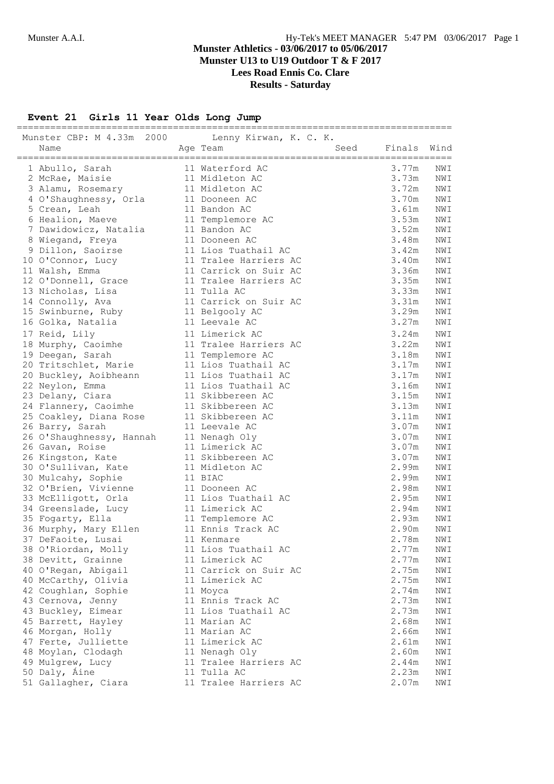# **Event 21 Girls 11 Year Olds Long Jump**

| Munster CBP: M 4.33m 2000<br>Name | Lenny Kirwan, K. C. K.<br>Seed<br>Age Team | Finals | Wind           |
|-----------------------------------|--------------------------------------------|--------|----------------|
|                                   |                                            |        |                |
| 1 Abullo, Sarah                   | 11 Waterford AC                            | 3.77m  | NWI            |
| 2 McRae, Maisie                   | 11 Midleton AC                             | 3.73m  | NWI            |
| 3 Alamu, Rosemary                 | 11 Midleton AC                             | 3.72m  | NWI            |
| 4 O'Shaughnessy, Orla             | 11 Dooneen AC                              | 3.70m  | NWI            |
| 5 Crean, Leah                     | 11 Bandon AC                               | 3.61m  | NWI            |
| 6 Healion, Maeve                  | 11 Templemore AC                           | 3.53m  | NWI            |
| 7 Dawidowicz, Natalia             | 11 Bandon AC                               | 3.52m  | NWI            |
| 8 Wiegand, Freya                  | 11 Dooneen AC                              | 3.48m  | NWI            |
| 9 Dillon, Saoirse                 | 11 Lios Tuathail AC                        | 3.42m  | $\texttt{NWI}$ |
| 10 O'Connor, Lucy                 | 11 Tralee Harriers AC                      | 3.40m  | NWI            |
| 11 Walsh, Emma                    | 11 Carrick on Suir AC                      | 3.36m  | NWI            |
| 12 O'Donnell, Grace               | 11 Tralee Harriers AC                      | 3.35m  | NWI            |
| 13 Nicholas, Lisa                 | 11 Tulla AC                                | 3.33m  | NWI            |
| 14 Connolly, Ava                  | 11 Carrick on Suir AC                      | 3.31m  | NWI            |
| 15 Swinburne, Ruby                | 11 Belgooly AC                             | 3.29m  | NWI            |
| 16 Golka, Natalia                 | 11 Leevale AC                              | 3.27m  | NWI            |
| 17 Reid, Lily                     | 11 Limerick AC                             | 3.24m  | NWI            |
| 18 Murphy, Caoimhe                | 11 Tralee Harriers AC                      | 3.22m  | NWI            |
| 19 Deegan, Sarah                  | 11 Templemore AC                           | 3.18m  | NWI            |
| 20 Tritschlet, Marie              | 11 Lios Tuathail AC                        | 3.17m  | NWI            |
| 20 Buckley, Aoibheann             | 11 Lios Tuathail AC                        | 3.17m  | NWI            |
| 22 Neylon, Emma                   | 11 Lios Tuathail AC                        | 3.16m  | NWI            |
| 23 Delany, Ciara                  | 11 Skibbereen AC                           | 3.15m  | NWI            |
| 24 Flannery, Caoimhe              | 11 Skibbereen AC                           | 3.13m  | NWI            |
| 25 Coakley, Diana Rose            | 11 Skibbereen AC                           | 3.11m  | NWI            |
| 26 Barry, Sarah                   | 11 Leevale AC                              | 3.07m  | NWI            |
| 26 O'Shaughnessy, Hannah          | 11 Nenagh Oly                              | 3.07m  | NWI            |
| 26 Gavan, Roise                   | 11 Limerick AC                             | 3.07m  | NWI            |
| 26 Kingston, Kate                 | 11 Skibbereen AC                           | 3.07m  | $\texttt{NW1}$ |
| 30 O'Sullivan, Kate               | 11 Midleton AC                             | 2.99m  | NWI            |
| 30 Mulcahy, Sophie                | 11 BIAC                                    | 2.99m  | NWI            |
| 32 O'Brien, Vivienne              | 11 Dooneen AC                              | 2.98m  | NWI            |
| 33 McElligott, Orla               | 11 Lios Tuathail AC                        | 2.95m  | NWI            |
| 34 Greenslade, Lucy               | 11 Limerick AC                             | 2.94m  | NWI            |
| 35 Fogarty, Ella                  | 11 Templemore AC                           | 2.93m  | NWI            |
| 36 Murphy, Mary Ellen             | 11 Ennis Track AC                          | 2.90m  | NWI            |
| 37 DeFaoite, Lusai                | 11 Kenmare                                 | 2.78m  | NWI            |
| 38 O'Riordan, Molly               | 11 Lios Tuathail AC                        | 2.77m  | NWI            |
| 38 Devitt, Grainne                | 11 Limerick AC                             | 2.77m  | NWI            |
| 40 O'Regan, Abigail               | 11 Carrick on Suir AC                      | 2.75m  | NWI            |
| 40 McCarthy, Olivia               | 11 Limerick AC                             | 2.75m  | NWI            |
| 42 Coughlan, Sophie               | 11 Moyca                                   | 2.74m  | NWI            |
| 43 Cernova, Jenny                 | 11 Ennis Track AC                          | 2.73m  | NWI            |
| 43 Buckley, Eimear                | 11 Lios Tuathail AC                        | 2.73m  | NWI            |
| 45 Barrett, Hayley                | 11 Marian AC                               | 2.68m  | NWI            |
| 46 Morgan, Holly                  | 11 Marian AC                               | 2.66m  | NWI            |
| 47 Ferte, Julliette               | 11 Limerick AC                             | 2.61m  | NWI            |
| 48 Moylan, Clodagh                | 11 Nenagh Oly                              | 2.60m  | NWI            |
| 49 Mulgrew, Lucy                  | 11 Tralee Harriers AC                      | 2.44m  | NWI            |
| 50 Daly, Áine                     | 11 Tulla AC                                | 2.23m  | NWI            |
| 51 Gallagher, Ciara               | 11 Tralee Harriers AC                      | 2.07m  | $\texttt{NWI}$ |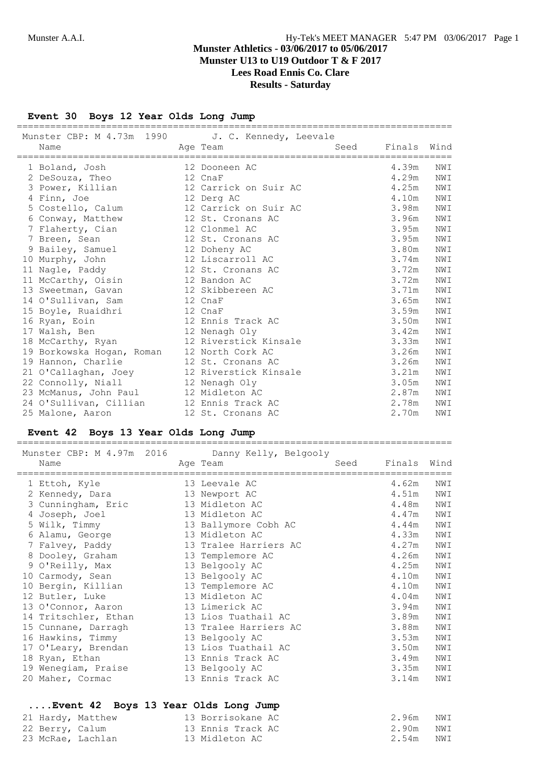**Event 30 Boys 12 Year Olds Long Jump**

| Name                                       | Munster CBP: M 4.73m 1990 J. C. Kennedy, Leevale<br>Age Team and Seed | Finals Wind |     |
|--------------------------------------------|-----------------------------------------------------------------------|-------------|-----|
|                                            |                                                                       |             |     |
| 1 Boland, Josh                             | 12 Dooneen AC                                                         | 4.39m       | NWI |
| 2 DeSouza, Theo                            | 12 CnaF                                                               | 4.29m       | NWI |
| 3 Power, Killian 12 Carrick on Suir AC     |                                                                       | 4.25m       | NWI |
| 4 Finn, Joe                                | 12 Derg AC                                                            | 4.10m       | NWI |
| 5 Costello, Calum                          | 12 Carrick on Suir AC                                                 | 3.98m       | NWI |
| 6 Conway, Matthew                          | 12 St. Cronans AC                                                     | 3.96m       | NWI |
| 7 Flaherty, Cian 12 Clonmel AC             |                                                                       | 3.95m       | NWI |
| 7 Breen, Sean                              | 12 St. Cronans AC                                                     | 3.95m       | NWI |
| 9 Bailey, Samuel                           | 12 Doheny AC                                                          | 3.80m       | NWI |
| 10 Murphy, John                            | 12 Liscarroll AC                                                      | 3.74m       | NWI |
| 11 Nagle, Paddy                            | 12 St. Cronans AC                                                     | 3.72m       | NWI |
| 11 McCarthy, Oisin                         | 12 Bandon AC                                                          | 3.72m       | NWI |
| 13 Sweetman, Gavan                         | 12 Skibbereen AC                                                      | 3.71m       | NWI |
| 14 O'Sullivan, Sam                         | 12 CnaF                                                               | 3.65m       | NWI |
| 15 Boyle, Ruaidhri                         | 12 CnaF                                                               | 3.59m       | NWI |
| 16 Ryan, Eoin                              | 12 Ennis Track AC                                                     | 3.50m       | NWI |
| 17 Walsh, Ben                              | 12 Nenagh Oly                                                         | 3.42m       | NWI |
| 18 McCarthy, Ryan 12 Riverstick Kinsale    |                                                                       | 3.33m       | NWI |
| 19 Borkowska Hogan, Roman 12 North Cork AC |                                                                       | 3.26m       | NWI |
| 19 Hannon, Charlie                         | 12 St. Cronans AC                                                     | 3.26m       | NWI |
| 21 O'Callaghan, Joey 12 Riverstick Kinsale |                                                                       | 3.21m       | NWI |
| 22 Connolly, Niall 12 Nenagh Oly           |                                                                       | 3.05m       | NWI |
| 23 McManus, John Paul 12 Midleton AC       |                                                                       | 2.87m       | NWI |
| 24 O'Sullivan, Cillian 12 Ennis Track AC   |                                                                       | 2.78m       | NWI |
| 25 Malone, Aaron                           | 12 St. Cronans AC                                                     | 2.70m       | NWI |

## **Event 42 Boys 13 Year Olds Long Jump**

| Munster CBP: M 4.97m 2016 | Danny Kelly, Belgooly |      |        |      |
|---------------------------|-----------------------|------|--------|------|
| Name                      | Age Team              | Seed | Finals | Wind |
|                           |                       |      |        |      |
| 1 Ettoh, Kyle             | 13 Leevale AC         |      | 4.62m  | NWI  |
| 2 Kennedy, Dara           | 13 Newport AC         |      | 4.51m  | NWI  |
| 3 Cunningham, Eric        | 13 Midleton AC        |      | 4.48m  | NWI  |
| 4 Joseph, Joel            | 13 Midleton AC        |      | 4.47m  | NWI  |
| 5 Wilk, Timmy             | 13 Ballymore Cobh AC  |      | 4.44m  | NWI  |
| 6 Alamu, George           | 13 Midleton AC        |      | 4.33m  | NWI  |
| 7 Falvey, Paddy           | 13 Tralee Harriers AC |      | 4.27m  | NWI  |
| 8 Dooley, Graham          | 13 Templemore AC      |      | 4.26m  | NWI  |
| 9 O'Reilly, Max           | 13 Belgooly AC        |      | 4.25m  | NWI  |
| 10 Carmody, Sean          | 13 Belgooly AC        |      | 4.10m  | NWI  |
| 10 Bergin, Killian        | 13 Templemore AC      |      | 4.10m  | NWI  |
| 12 Butler, Luke           | 13 Midleton AC        |      | 4.04m  | NWI  |
| 13 O'Connor, Aaron        | 13 Limerick AC        |      | 3.94m  | NWI  |
| 14 Tritschler, Ethan      | 13 Lios Tuathail AC   |      | 3.89m  | NWI  |
| 15 Cunnane, Darragh       | 13 Tralee Harriers AC |      | 3.88m  | NWI  |
| 16 Hawkins, Timmy         | 13 Belgooly AC        |      | 3.53m  | NWI  |
| 17 O'Leary, Brendan       | 13 Lios Tuathail AC   |      | 3.50m  | NWI  |
| 18 Ryan, Ethan            | 13 Ennis Track AC     |      | 3.49m  | NWI  |
| 19 Wenegiam, Praise       | 13 Belgooly AC        |      | 3.35m  | NWI  |
| 20 Maher, Cormac          | 13 Ennis Track AC     |      | 3.14m  | NWI  |
|                           |                       |      |        |      |

## **....Event 42 Boys 13 Year Olds Long Jump**

|                 | 21 Hardy, Matthew | 13 Borrisokane AC | 2.96m NWI |  |
|-----------------|-------------------|-------------------|-----------|--|
| 22 Berry, Calum |                   | 13 Ennis Track AC | 2.90m NWI |  |
|                 | 23 McRae, Lachlan | 13 Midleton AC    | 2.54m NWI |  |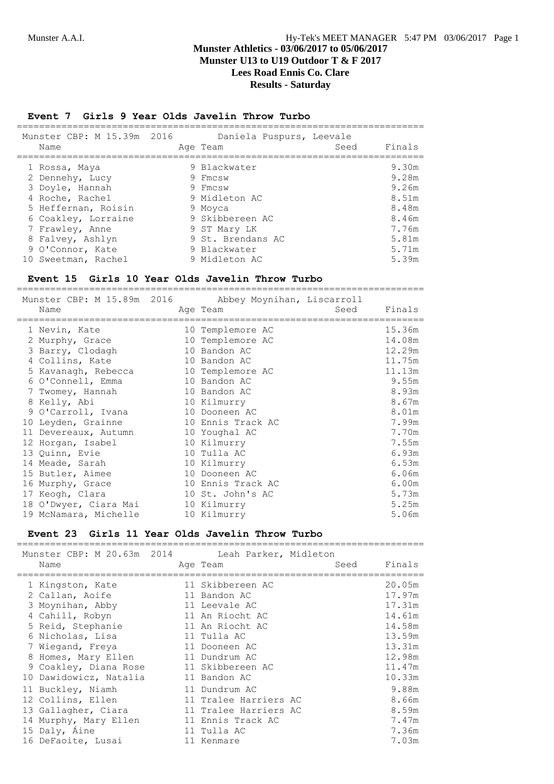## Munster A.A.I. **Hy-Tek's MEET MANAGER** 5:47 PM 03/06/2017 Page 1 **Munster Athletics - 03/06/2017 to 05/06/2017 Munster U13 to U19 Outdoor T & F 2017**

**Lees Road Ennis Co. Clare Results - Saturday**

#### **Event 7 Girls 9 Year Olds Javelin Throw Turbo**

| Munster CBP: M 15.39m 2016<br>Name | Daniela Puspurs, Leevale<br>Age Team | Seed | Finals |
|------------------------------------|--------------------------------------|------|--------|
| 1 Rossa, Maya                      | 9 Blackwater                         |      | 9.30m  |
| 2 Dennehy, Lucy                    | 9 Fmcsw                              |      | 9.28m  |
| 3 Doyle, Hannah                    | 9 Fmcsw                              |      | 9.26m  |
| 4 Roche, Rachel                    | 9 Midleton AC                        |      | 8.51m  |
| 5 Heffernan, Roisin                | 9 Moyca                              |      | 8.48m  |
| 6 Coakley, Lorraine                | 9 Skibbereen AC                      |      | 8.46m  |
| 7 Frawley, Anne                    | 9 ST Mary LK                         |      | 7.76m  |
| 8 Falvey, Ashlyn                   | 9 St. Brendans AC                    |      | 5.81m  |
| 9 O'Connor, Kate                   | 9 Blackwater                         |      | 5.71m  |
| 10 Sweetman, Rachel                | 9 Midleton AC                        |      | 5.39m  |

#### **Event 15 Girls 10 Year Olds Javelin Throw Turbo**

=========================================================================

| Munster CBP: M 15.89m 2016 Abbey Moynihan, Liscarroll |                   |      |        |
|-------------------------------------------------------|-------------------|------|--------|
| Name<br>------------------------                      | Age Team          | Seed | Finals |
| 1 Nevin, Kate                                         | 10 Templemore AC  |      | 15.36m |
| 2 Murphy, Grace                                       | 10 Templemore AC  |      | 14.08m |
| 3 Barry, Clodagh                                      | 10 Bandon AC      |      | 12.29m |
| 4 Collins, Kate                                       | 10 Bandon AC      |      | 11.75m |
| 5 Kavanagh, Rebecca                                   | 10 Templemore AC  |      | 11.13m |
| 6 O'Connell, Emma                                     | 10 Bandon AC      |      | 9.55m  |
| 7 Twomey, Hannah                                      | 10 Bandon AC      |      | 8.93m  |
| 8 Kelly, Abi                                          | 10 Kilmurry       |      | 8.67m  |
| 9 O'Carroll, Ivana                                    | 10 Dooneen AC     |      | 8.01m  |
| 10 Leyden, Grainne                                    | 10 Ennis Track AC |      | 7.99m  |
| 11 Devereaux, Autumn                                  | 10 Youghal AC     |      | 7.70m  |
| 12 Horgan, Isabel                                     | 10 Kilmurry       |      | 7.55m  |
| 13 Quinn, Evie                                        | 10 Tulla AC       |      | 6.93m  |
| 14 Meade, Sarah                                       | 10 Kilmurry       |      | 6.53m  |
| 15 Butler, Aimee                                      | 10 Dooneen AC     |      | 6.06m  |
| 16 Murphy, Grace                                      | 10 Ennis Track AC |      | 6.00m  |
| 17 Keogh, Clara                                       | 10 St. John's AC  |      | 5.73m  |
| 18 O'Dwyer, Ciara Mai                                 | 10 Kilmurry       |      | 5.25m  |
| 19 McNamara, Michelle                                 | 10 Kilmurry       |      | 5.06m  |

#### **Event 23 Girls 11 Year Olds Javelin Throw Turbo**

|   | Munster CBP: M 20.63m 2014 Leah Parker, Midleton |  |                       |      |        |
|---|--------------------------------------------------|--|-----------------------|------|--------|
|   | Name                                             |  | Age Team              | Seed | Finals |
|   | 1 Kingston, Kate                                 |  | 11 Skibbereen AC      |      | 20.05m |
|   | 2 Callan, Aoife                                  |  | 11 Bandon AC          |      | 17.97m |
|   | 3 Moynihan, Abby                                 |  | 11 Leevale AC         |      | 17.31m |
|   | 4 Cahill, Robyn                                  |  | 11 An Riocht AC       |      | 14.61m |
|   | 5 Reid, Stephanie                                |  | 11 An Riocht AC       |      | 14.58m |
|   | 6 Nicholas, Lisa                                 |  | 11 Tulla AC           |      | 13.59m |
|   | 7 Wiegand, Freya                                 |  | 11 Dooneen AC         |      | 13.31m |
| 8 | Homes, Mary Ellen                                |  | 11 Dundrum AC         |      | 12.98m |
|   | 9 Coakley, Diana Rose                            |  | 11 Skibbereen AC      |      | 11.47m |
|   | 10 Dawidowicz, Natalia                           |  | 11 Bandon AC          |      | 10.33m |
|   | 11 Buckley, Niamh                                |  | 11 Dundrum AC         |      | 9.88m  |
|   | 12 Collins, Ellen                                |  | 11 Tralee Harriers AC |      | 8.66m  |
|   | 13 Gallagher, Ciara                              |  | 11 Tralee Harriers AC |      | 8.59m  |
|   | 14 Murphy, Mary Ellen                            |  | 11 Ennis Track AC     |      | 7.47m  |
|   | 15 Daly, Aine                                    |  | 11 Tulla AC           |      | 7.36m  |
|   | 16 DeFaoite, Lusai                               |  | 11 Kenmare            |      | 7.03m  |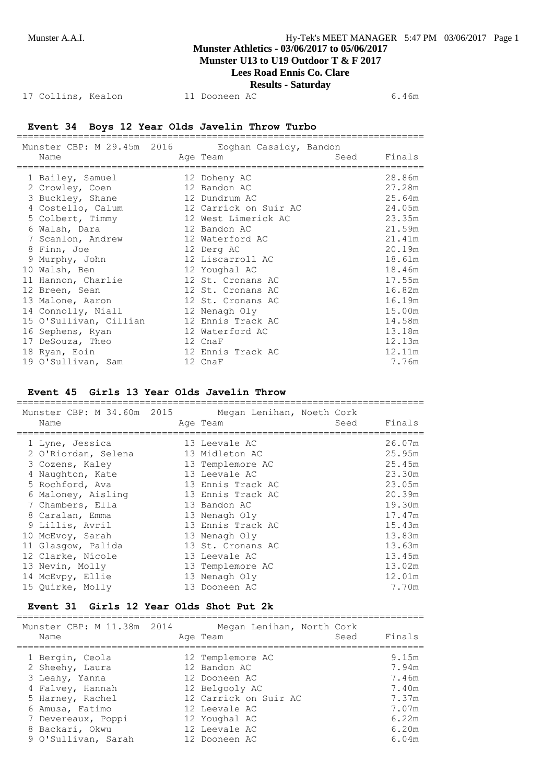#### **Munster U13 to U19 Outdoor T & F 2017 Lees Road Ennis Co. Clare**

# **Results - Saturday**

17 Collins, Kealon 11 Dooneen AC 6.46m

#### **Event 34 Boys 12 Year Olds Javelin Throw Turbo** =========================================================================

Munster CBP: M 29.45m 2016 Eoghan Cassidy, Bandon Name and Age Team and Seed Finals ========================================================================= 1 Bailey, Samuel 12 Doheny AC 28.86m 2 Crowley, Coen 12 Bandon AC 27.28m 3 Buckley, Shane 12 Dundrum AC 25.64m 4 Costello, Calum 12 Carrick on Suir AC 24.05m 5 Colbert, Timmy 12 West Limerick AC 23.35m 6 Walsh, Dara 12 Bandon AC 21.59m 7 Scanlon, Andrew 12 Waterford AC 21.41m 8 Finn, Joe 12 Derg AC 20.19m 9 Murphy, John 12 Liscarroll AC 18.61m 10 Walsh, Ben 12 Youghal AC 18.46m 11 Hannon, Charlie 12 St. Cronans AC 17.55m 12 Breen, Sean 12 St. Cronans AC 16.82m 13 Malone, Aaron 12 St. Cronans AC 16.19m 14 Connolly, Niall 12 Nenagh Oly 15.00m 15 O'Sullivan, Cillian 12 Ennis Track AC 14.58m 16 Sephens, Ryan 12 Waterford AC 13.18m 17 DeSouza, Theo 12 CnaF 12.13m 18 Ryan, Eoin 12 Ennis Track AC 12.11m 19 O'Sullivan, Sam 12 CnaF 7.76m

#### **Event 45 Girls 13 Year Olds Javelin Throw**

| Munster CBP: M 34.60m 2015<br>Name                        |  | Megan Lenihan, Noeth Cork<br>Age Team               | Seed | Finals                     |
|-----------------------------------------------------------|--|-----------------------------------------------------|------|----------------------------|
| 1 Lyne, Jessica<br>2 O'Riordan, Selena<br>3 Cozens, Kaley |  | 13 Leevale AC<br>13 Midleton AC<br>13 Templemore AC |      | 26.07m<br>25.95m<br>25.45m |
| 4 Naughton, Kate                                          |  | 13 Leevale AC                                       |      | 23.30m                     |
| 5 Rochford, Ava<br>6 Maloney, Aisling                     |  | 13 Ennis Track AC<br>13 Ennis Track AC              |      | 23.05m<br>20.39m           |
| 7 Chambers, Ella                                          |  | 13 Bandon AC                                        |      | 19.30m                     |
| 8 Caralan, Emma<br>9 Lillis, Avril                        |  | 13 Nenagh Oly<br>13 Ennis Track AC                  |      | 17.47m<br>15.43m           |
| 10 McEvoy, Sarah                                          |  | 13 Nenagh Oly                                       |      | 13.83m                     |
| 11 Glasgow, Palida<br>12 Clarke, Nicole                   |  | 13 St. Cronans AC<br>13 Leevale AC                  |      | 13.63m<br>13.45m           |
| 13 Nevin, Molly                                           |  | 13 Templemore AC                                    |      | 13.02m                     |
| 14 McEvpy, Ellie<br>15 Ouirke, Molly                      |  | 13 Nenagh Oly<br>13 Dooneen AC                      |      | 12.01m<br>7.70m            |

#### **Event 31 Girls 12 Year Olds Shot Put 2k** =========================================================================

| Munster CBP: M 11.38m 2014<br>Name | Megan Lenihan, North Cork<br>Seed<br>Age Team | Finals |
|------------------------------------|-----------------------------------------------|--------|
| 1 Bergin, Ceola                    | 12 Templemore AC                              | 9.15m  |
| 2 Sheehy, Laura                    | 12 Bandon AC                                  | 7.94m  |
| 3 Leahy, Yanna                     | 12 Dooneen AC                                 | 7.46m  |
| 4 Falvey, Hannah                   | 12 Belgooly AC                                | 7.40m  |
| 5 Harney, Rachel                   | 12 Carrick on Suir AC                         | 7.37m  |
| 6 Amusa, Fatimo                    | 12 Leevale AC                                 | 7.07m  |
| 7 Devereaux, Poppi                 | 12 Youghal AC                                 | 6.22m  |
| 8 Backari, Okwu                    | 12 Leevale AC                                 | 6.20m  |
| 9 O'Sullivan, Sarah                | 12 Dooneen AC                                 | 6.04m  |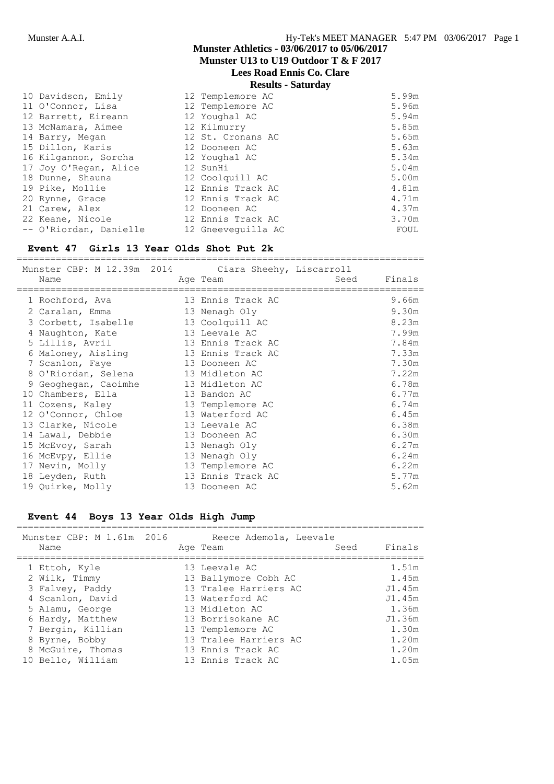**Munster U13 to U19 Outdoor T & F 2017**

## **Lees Road Ennis Co. Clare**

**Results - Saturday**

| 10 Davidson, Emily     | 12 Templemore AC   | 5.99m |
|------------------------|--------------------|-------|
| 11 O'Connor, Lisa      | 12 Templemore AC   | 5.96m |
| 12 Barrett, Eireann    | 12 Youghal AC      | 5.94m |
| 13 McNamara, Aimee     | 12 Kilmurry        | 5.85m |
| 14 Barry, Megan        | 12 St. Cronans AC  | 5.65m |
| 15 Dillon, Karis       | 12 Dooneen AC      | 5.63m |
| 16 Kilgannon, Sorcha   | 12 Youghal AC      | 5.34m |
| 17 Joy O'Regan, Alice  | 12 SunHi           | 5.04m |
| 18 Dunne, Shauna       | 12 Coolquill AC    | 5.00m |
| 19 Pike, Mollie        | 12 Ennis Track AC  | 4.81m |
| 20 Rynne, Grace        | 12 Ennis Track AC  | 4.71m |
| 21 Carew, Alex         | 12 Dooneen AC      | 4.37m |
| 22 Keane, Nicole       | 12 Ennis Track AC  | 3.70m |
| -- O'Riordan, Danielle | 12 Gneeveguilla AC | FOUL  |

#### **Event 47 Girls 13 Year Olds Shot Put 2k**

========================================================================= Munster CBP: M 12.39m 2014 Ciara Sheehy, Liscarroll Name **Age Team** Age Team Seed Finals ========================================================================= 1 Rochford, Ava 13 Ennis Track AC 9.66m 2 Caralan, Emma 13 Nenagh Oly 9.30m 3 Corbett, Isabelle 13 Coolquill AC 8.23m 4 Naughton, Kate 13 Leevale AC 7.99m 5 Lillis, Avril 13 Ennis Track AC 7.84m 6 Maloney, Aisling 13 Ennis Track AC 7.33m 7 Scanlon, Faye 13 Dooneen AC 7.30m 8 O'Riordan, Selena 13 Midleton AC 7.22m 9 Geoghegan, Caoimhe 13 Midleton AC 6.78m 10 Chambers, Ella 13 Bandon AC 6.77m 11 Cozens, Kaley 13 Templemore AC 6.74m 12 O'Connor, Chloe 13 Waterford AC 6.45m 13 Clarke, Nicole 13 Leevale AC 6.38m 14 Lawal, Debbie 13 Dooneen AC 6.30m 15 McEvoy, Sarah 13 Nenagh Oly 6.27m 16 McEvpy, Ellie 13 Nenagh Oly 6.24m 17 Nevin, Molly 13 Templemore AC 6.22m 18 Leyden, Ruth 13 Ennis Track AC 5.77m 19 Quirke, Molly 13 Dooneen AC 5.62m

#### **Event 44 Boys 13 Year Olds High Jump**

| Munster CBP: M 1.61m 2016 | Reece Ademola, Leevale |      |        |
|---------------------------|------------------------|------|--------|
| Name                      | Age Team               | Seed | Finals |
| 1 Ettoh, Kyle             | 13 Leevale AC          |      | 1.51m  |
| 2 Wilk, Timmy             | 13 Ballymore Cobh AC   |      | 1.45m  |
| 3 Falvey, Paddy           | 13 Tralee Harriers AC  |      | J1.45m |
| 4 Scanlon, David          | 13 Waterford AC        |      | J1.45m |
| 5 Alamu, George           | 13 Midleton AC         |      | 1.36m  |
| 6 Hardy, Matthew          | 13 Borrisokane AC      |      | J1.36m |
| 7 Bergin, Killian         | 13 Templemore AC       |      | 1.30m  |
| 8 Byrne, Bobby            | 13 Tralee Harriers AC  |      | 1.20m  |
| 8 McGuire, Thomas         | 13 Ennis Track AC      |      | 1.20m  |
| 10 Bello, William         | 13 Ennis Track AC      |      | 1.05m  |